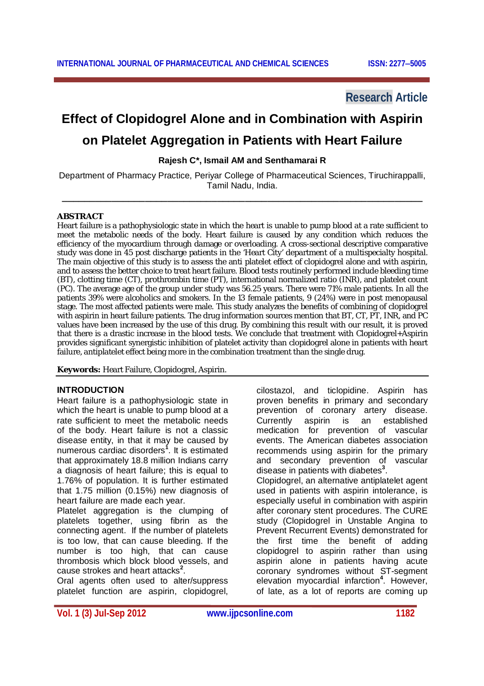## **Research Article**

# **Effect of Clopidogrel Alone and in Combination with Aspirin**

## **on Platelet Aggregation in Patients with Heart Failure**

**Rajesh C\*, Ismail AM and Senthamarai R**

Department of Pharmacy Practice, Periyar College of Pharmaceutical Sciences, Tiruchirappalli, Tamil Nadu, India.

**\_\_\_\_\_\_\_\_\_\_\_\_\_\_\_\_\_\_\_\_\_\_\_\_\_\_\_\_\_\_\_\_\_\_\_\_\_\_\_\_\_\_\_\_\_\_\_\_\_\_\_\_\_\_\_\_\_\_\_\_\_\_\_\_\_**

#### **ABSTRACT**

Heart failure is a pathophysiologic state in which the heart is unable to pump blood at a rate sufficient to meet the metabolic needs of the body. Heart failure is caused by any condition which reduces the efficiency of the myocardium through damage or overloading. A cross-sectional descriptive comparative study was done in 45 post discharge patients in the 'Heart City' department of a multispecialty hospital. The main objective of this study is to assess the anti platelet effect of clopidogrel alone and with aspirin, and to assess the better choice to treat heart failure. Blood tests routinely performed include bleeding time (BT), clotting time (CT), prothrombin time (PT), international normalized ratio (INR), and platelet count (PC). The average age of the group under study was 56.25 years. There were 71% male patients. In all the patients 39% were alcoholics and smokers. In the 13 female patients, 9 (24%) were in post menopausal stage. The most affected patients were male. This study analyzes the benefits of combining of clopidogrel with aspirin in heart failure patients. The drug information sources mention that BT, CT, PT, INR, and PC values have been increased by the use of this drug. By combining this result with our result, it is proved that there is a drastic increase in the blood tests. We conclude that treatment with Clopidogrel+Aspirin provides significant synergistic inhibition of platelet activity than clopidogrel alone in patients with heart failure, antiplatelet effect being more in the combination treatment than the single drug.

**Keywords:** Heart Failure, Clopidogrel, Aspirin.

#### **INTRODUCTION**

Heart failure is a pathophysiologic state in which the heart is unable to pump blood at a rate sufficient to meet the metabolic needs of the body. Heart failure is not a classic disease entity, in that it may be caused by numerous cardiac disorders**<sup>1</sup>** . It is estimated that approximately 18.8 million Indians carry a diagnosis of heart failure; this is equal to 1.76% of population. It is further estimated that 1.75 million (0.15%) new diagnosis of heart failure are made each year.

Platelet aggregation is the clumping of platelets together, using fibrin as the connecting agent. If the number of platelets is too low, that can cause bleeding. If the number is too high, that can cause thrombosis which block blood vessels, and cause strokes and heart attacks**<sup>2</sup>** .

Oral agents often used to alter/suppress platelet function are aspirin, clopidogrel,

cilostazol, and ticlopidine. Aspirin has proven benefits in primary and secondary prevention of coronary artery disease. Currently aspirin is an established medication for prevention of vascular events. The American diabetes association recommends using aspirin for the primary and secondary prevention of vascular disease in patients with diabetes**<sup>3</sup>** . Clopidogrel, an alternative antiplatelet agent used in patients with aspirin intolerance, is especially useful in combination with aspirin after coronary stent procedures. The CURE study (Clopidogrel in Unstable Angina to Prevent Recurrent Events) demonstrated for the first time the benefit of adding clopidogrel to aspirin rather than using aspirin alone in patients having acute coronary syndromes without ST-segment elevation myocardial infarction**<sup>4</sup>** . However,

of late, as a lot of reports are coming up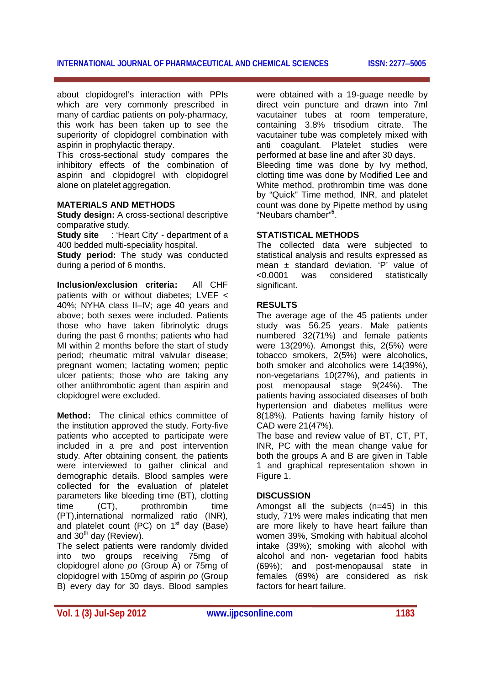#### **INTERNATIONAL JOURNAL OF PHARMACEUTICAL AND CHEMICAL SCIENCES ISSN: 22775005**

about clopidogrel's interaction with PPIs which are very commonly prescribed in many of cardiac patients on poly-pharmacy, this work has been taken up to see the superiority of clopidogrel combination with aspirin in prophylactic therapy.

This cross-sectional study compares the inhibitory effects of the combination of aspirin and clopidogrel with clopidogrel alone on platelet aggregation.

#### **MATERIALS AND METHODS**

**Study design:** A cross-sectional descriptive comparative study.

**Study site** : 'Heart City' - department of a 400 bedded multi-speciality hospital.

**Study period:** The study was conducted during a period of 6 months.

**Inclusion/exclusion criteria:** All CHF patients with or without diabetes; LVEF < 40%; NYHA class II–IV; age 40 years and above; both sexes were included. Patients those who have taken fibrinolytic drugs during the past 6 months; patients who had MI within 2 months before the start of study period; rheumatic mitral valvular disease; pregnant women; lactating women; peptic ulcer patients; those who are taking any other antithrombotic agent than aspirin and clopidogrel were excluded.

**Method:** The clinical ethics committee of the institution approved the study. Forty-five patients who accepted to participate were included in a pre and post intervention study. After obtaining consent, the patients were interviewed to gather clinical and demographic details. Blood samples were collected for the evaluation of platelet parameters like bleeding time (BT), clotting time (CT), prothrombin time (PT),international normalized ratio (INR), and platelet count (PC) on  $1<sup>st</sup>$  day (Base) and  $30<sup>th</sup>$  day (Review).

The select patients were randomly divided into two groups receiving 75mg of clopidogrel alone *po* (Group A) or 75mg of clopidogrel with 150mg of aspirin *po* (Group B) every day for 30 days. Blood samples

were obtained with a 19-guage needle by direct vein puncture and drawn into 7ml vacutainer tubes at room temperature, containing 3.8% trisodium citrate. The vacutainer tube was completely mixed with anti coagulant. Platelet studies were performed at base line and after 30 days. Bleeding time was done by Ivy method, clotting time was done by Modified Lee and White method, prothrombin time was done by "Quick" Time method, INR, and platelet count was done by Pipette method by using "Neubars chamber"**<sup>5</sup>** .

### **STATISTICAL METHODS**

The collected data were subjected to statistical analysis and results expressed as mean ± standard deviation. 'P' value of <0.0001 was considered statistically significant.

#### **RESULTS**

The average age of the 45 patients under study was 56.25 years. Male patients numbered 32(71%) and female patients were 13(29%). Amongst this, 2(5%) were tobacco smokers, 2(5%) were alcoholics, both smoker and alcoholics were 14(39%), non-vegetarians 10(27%), and patients in post menopausal stage 9(24%). The patients having associated diseases of both hypertension and diabetes mellitus were 8(18%). Patients having family history of CAD were 21(47%).

The base and review value of BT, CT, PT, INR, PC with the mean change value for both the groups A and B are given in Table 1 and graphical representation shown in Figure 1.

#### **DISCUSSION**

Amongst all the subjects (n=45) in this study, 71% were males indicating that men are more likely to have heart failure than women 39%, Smoking with habitual alcohol intake (39%); smoking with alcohol with alcohol and non- vegetarian food habits (69%); and post-menopausal state in females (69%) are considered as risk factors for heart failure.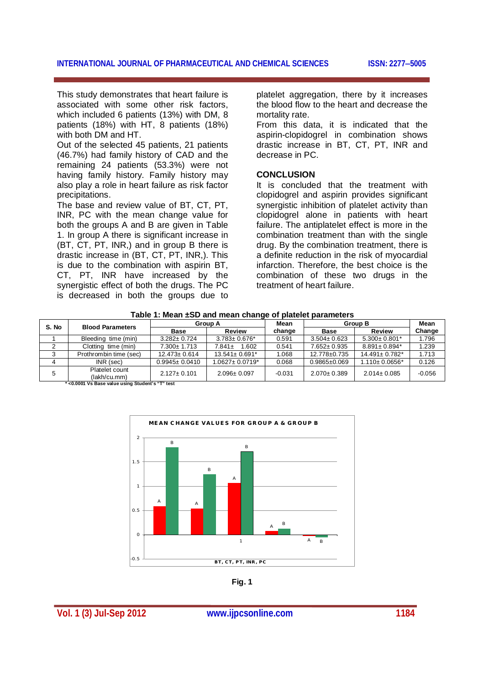This study demonstrates that heart failure is associated with some other risk factors, which included 6 patients (13%) with DM, 8 patients (18%) with HT, 8 patients (18%) with both DM and HT.

Out of the selected 45 patients, 21 patients (46.7%) had family history of CAD and the remaining 24 patients (53.3%) were not having family history. Family history may also play a role in heart failure as risk factor precipitations.

The base and review value of BT, CT, PT, INR, PC with the mean change value for both the groups A and B are given in Table 1. In group A there is significant increase in (BT, CT, PT, INR,) and in group B there is drastic increase in (BT, CT, PT, INR,). This is due to the combination with aspirin BT, CT, PT, INR have increased by the synergistic effect of both the drugs. The PC is decreased in both the groups due to

platelet aggregation, there by it increases the blood flow to the heart and decrease the mortality rate.

From this data, it is indicated that the aspirin-clopidogrel in combination shows drastic increase in BT, CT, PT, INR and decrease in PC.

#### **CONCLUSION**

It is concluded that the treatment with clopidogrel and aspirin provides significant synergistic inhibition of platelet activity than clopidogrel alone in patients with heart failure. The antiplatelet effect is more in the combination treatment than with the single drug. By the combination treatment, there is a definite reduction in the risk of myocardial infarction. Therefore, the best choice is the combination of these two drugs in the treatment of heart failure.

| S. No                                              | <b>Blood Parameters</b>        | <b>Group A</b>      |                                  | Mean     | <b>Group B</b>     |                                 | Mean     |
|----------------------------------------------------|--------------------------------|---------------------|----------------------------------|----------|--------------------|---------------------------------|----------|
|                                                    |                                | <b>Base</b>         | <b>Review</b>                    | change   | <b>Base</b>        | Review                          | Change   |
|                                                    | Bleeding time (min)            | $3.282 \pm 0.724$   | $3.783 \pm 0.676$ *              | 0.591    | $3.504 \pm 0.623$  | $5.300 \pm 0.801*$              | 1.796    |
|                                                    | Clotting time (min)            | 7.300± 1.713        | 1.602<br>$7.841 \pm$             | 0.541    | $7.652 \pm 0.935$  | $8.891 \pm 0.894$ <sup>*</sup>  | 1.239    |
|                                                    | Prothrombin time (sec)         | $12.473 \pm 0.614$  | $13.541 \pm 0.691$ <sup>*</sup>  | 1.068    | $12.778 + 0.735$   | $14.491 \pm 0.782$ <sup>*</sup> | 1.713    |
|                                                    | $INR$ (sec)                    | $0.9945 \pm 0.0410$ | $1.0627 \pm 0.0719$ <sup>*</sup> | 0.068    | $0.9865 \pm 0.069$ | $1.110 \pm 0.0656*$             | 0.126    |
| 5                                                  | Platelet count<br>(lakh/cu.mm) | $2.127 \pm 0.101$   | $2.096 \pm 0.097$                | $-0.031$ | $2.070 \pm 0.389$  | $2.014 \pm 0.085$               | $-0.056$ |
| $*$ -0.0001 Vo Bass volus using Curdent's "T" toot |                                |                     |                                  |          |                    |                                 |          |

**Table 1: Mean ±SD and mean change of platelet parameters**

 **\* <0.0001 Vs Base value using Student's "T" test**



**Fig. 1**